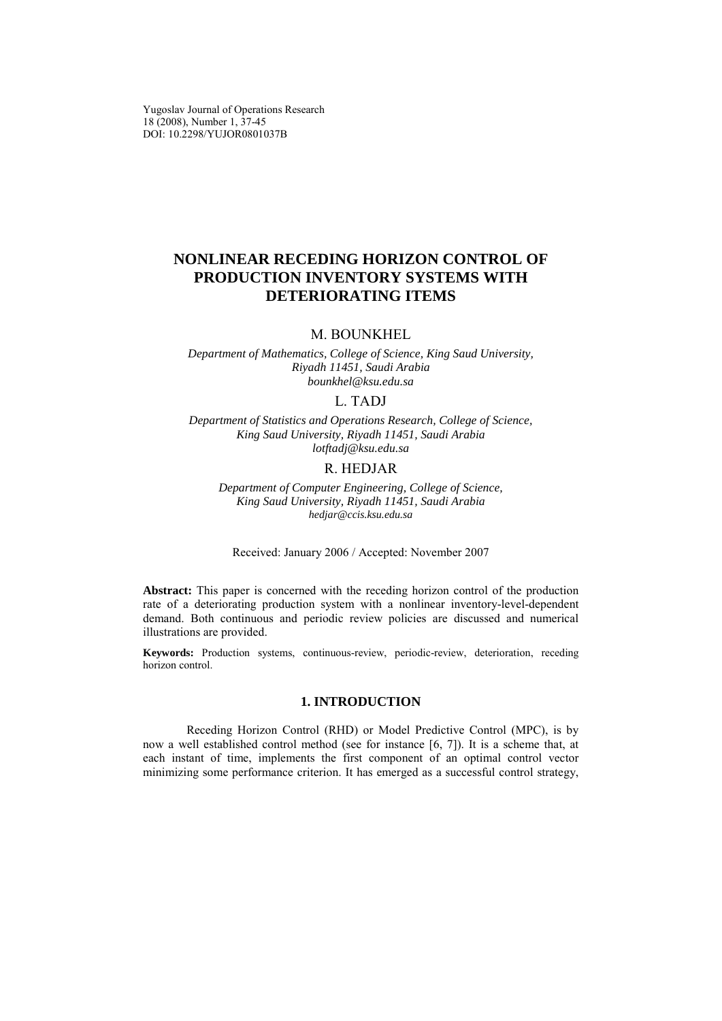Yugoslav Journal of Operations Research 18 (2008), Number 1, 37-45 DOI: 10.2298/YUJOR0801037B

# **NONLINEAR RECEDING HORIZON CONTROL OF PRODUCTION INVENTORY SYSTEMS WITH DETERIORATING ITEMS**

## M. BOUNKHEL

*Department of Mathematics, College of Science, King Saud University, Riyadh 11451, Saudi Arabia bounkhel@ksu.edu.sa* 

## L. TADJ

*Department of Statistics and Operations Research, College of Science, King Saud University, Riyadh 11451, Saudi Arabia lotftadj@ksu.edu.sa* 

## R. HEDJAR

*Department of Computer Engineering, College of Science, King Saud University, Riyadh 11451, Saudi Arabia hedjar@ccis.ksu.edu.sa* 

Received: January 2006 / Accepted: November 2007

**Abstract:** This paper is concerned with the receding horizon control of the production rate of a deteriorating production system with a nonlinear inventory-level-dependent demand. Both continuous and periodic review policies are discussed and numerical illustrations are provided.

**Keywords:** Production systems, continuous-review, periodic-review, deterioration, receding horizon control.

### **1. INTRODUCTION**

Receding Horizon Control (RHD) or Model Predictive Control (MPC), is by now a well established control method (see for instance [6, 7]). It is a scheme that, at each instant of time, implements the first component of an optimal control vector minimizing some performance criterion. It has emerged as a successful control strategy,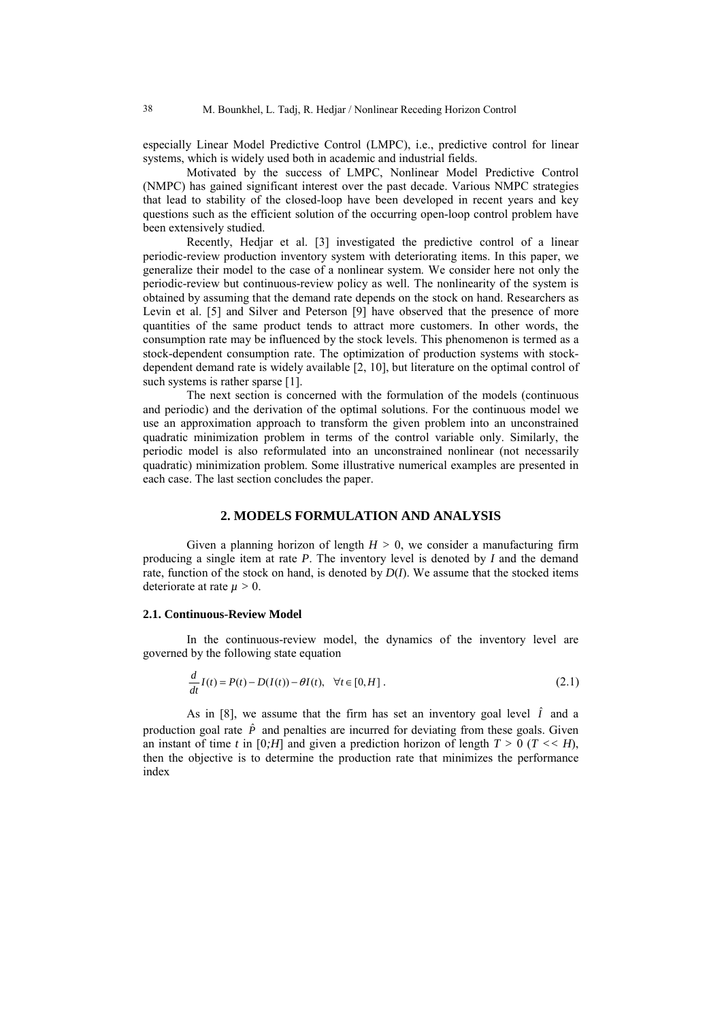especially Linear Model Predictive Control (LMPC), i.e., predictive control for linear systems, which is widely used both in academic and industrial fields.

Motivated by the success of LMPC, Nonlinear Model Predictive Control (NMPC) has gained significant interest over the past decade. Various NMPC strategies that lead to stability of the closed-loop have been developed in recent years and key questions such as the efficient solution of the occurring open-loop control problem have been extensively studied.

Recently, Hedjar et al. [3] investigated the predictive control of a linear periodic-review production inventory system with deteriorating items. In this paper, we generalize their model to the case of a nonlinear system. We consider here not only the periodic-review but continuous-review policy as well. The nonlinearity of the system is obtained by assuming that the demand rate depends on the stock on hand. Researchers as Levin et al. [5] and Silver and Peterson [9] have observed that the presence of more quantities of the same product tends to attract more customers. In other words, the consumption rate may be influenced by the stock levels. This phenomenon is termed as a stock-dependent consumption rate. The optimization of production systems with stockdependent demand rate is widely available [2, 10], but literature on the optimal control of such systems is rather sparse [1].

The next section is concerned with the formulation of the models (continuous and periodic) and the derivation of the optimal solutions. For the continuous model we use an approximation approach to transform the given problem into an unconstrained quadratic minimization problem in terms of the control variable only. Similarly, the periodic model is also reformulated into an unconstrained nonlinear (not necessarily quadratic) minimization problem. Some illustrative numerical examples are presented in each case. The last section concludes the paper.

#### **2. MODELS FORMULATION AND ANALYSIS**

Given a planning horizon of length  $H > 0$ , we consider a manufacturing firm producing a single item at rate *P*. The inventory level is denoted by *I* and the demand rate, function of the stock on hand, is denoted by  $D(I)$ . We assume that the stocked items deteriorate at rate  $\mu > 0$ .

#### **2.1. Continuous-Review Model**

In the continuous-review model, the dynamics of the inventory level are governed by the following state equation

$$
\frac{d}{dt}I(t) = P(t) - D(I(t)) - \theta I(t), \quad \forall t \in [0, H].
$$
\n(2.1)

As in [8], we assume that the firm has set an inventory goal level  $\hat{I}$  and a production goal rate  $\hat{P}$  and penalties are incurred for deviating from these goals. Given an instant of time *t* in [0*;H*] and given a prediction horizon of length  $T > 0$  ( $T < H$ ), then the objective is to determine the production rate that minimizes the performance index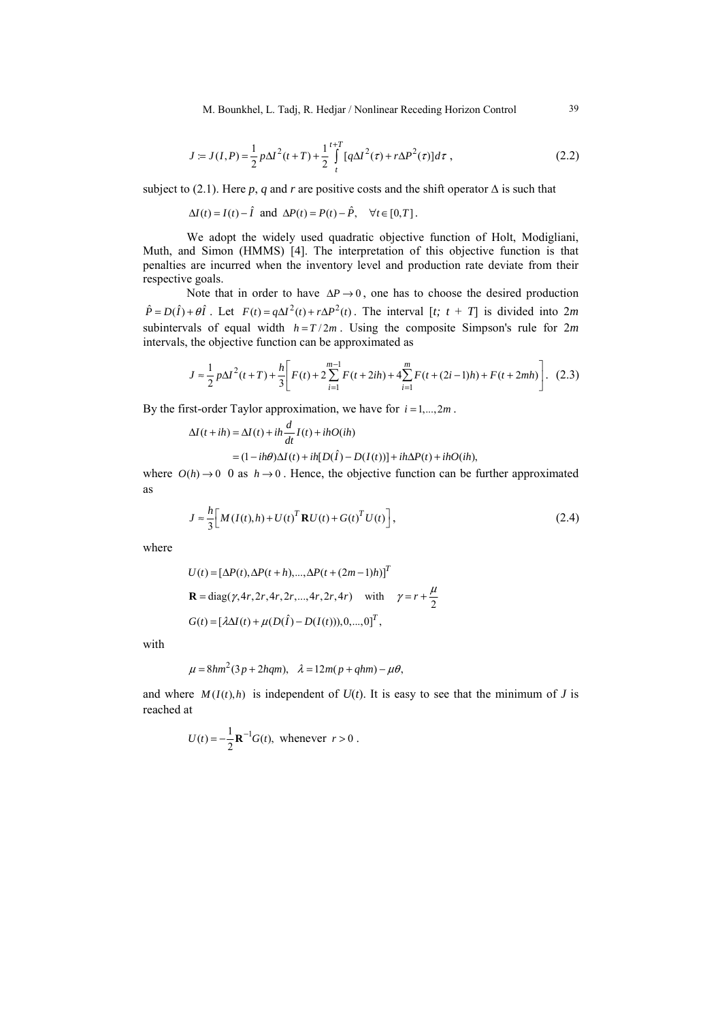M. Bounkhel, L. Tadj, R. Hedjar / Nonlinear Receding Horizon Control 39

$$
J = J(I, P) = \frac{1}{2} p \Delta I^2(t+T) + \frac{1}{2} \int_{t}^{t+T} [q \Delta I^2(\tau) + r \Delta P^2(\tau)] d\tau ,
$$
 (2.2)

subject to (2.1). Here *p*, *q* and *r* are positive costs and the shift operator  $\Delta$  is such that

 $\Delta I(t) = I(t) - \hat{I}$  and  $\Delta P(t) = P(t) - \hat{P}$ ,  $\forall t \in [0, T]$ .

We adopt the widely used quadratic objective function of Holt, Modigliani, Muth, and Simon (HMMS) [4]. The interpretation of this objective function is that penalties are incurred when the inventory level and production rate deviate from their respective goals.

Note that in order to have  $\Delta P \rightarrow 0$ , one has to choose the desired production  $\hat{P} = D(\hat{I}) + \theta \hat{I}$ . Let  $F(t) = q\Delta I^2(t) + r\Delta P^2(t)$ . The interval  $[t; t + T]$  is divided into 2*m* subintervals of equal width  $h = T/2m$ . Using the composite Simpson's rule for  $2m$ intervals, the objective function can be approximated as

$$
J \approx \frac{1}{2} p \Delta I^2(t+T) + \frac{h}{3} \bigg[ F(t) + 2 \sum_{i=1}^{m-1} F(t+2ih) + 4 \sum_{i=1}^m F(t+(2i-1)h) + F(t+2mh) \bigg]. \tag{2.3}
$$

By the first-order Taylor approximation, we have for  $i = 1, \ldots, 2m$ .

$$
\Delta I(t+ih) = \Delta I(t) + ih \frac{d}{dt} I(t) + ihO(ih)
$$
  
=  $(1 - ih\theta)\Delta I(t) + ih[D(\hat{I}) - D(I(t))] + ih\Delta P(t) + ihO(ih),$ 

where  $O(h) \rightarrow 0$  0 as  $h \rightarrow 0$ . Hence, the objective function can be further approximated as

$$
J \approx \frac{h}{3} \Big[ M \left( I(t), h \right) + U(t)^T \mathbf{R} U(t) + G(t)^T U(t) \Big], \tag{2.4}
$$

where

$$
U(t) = [\Delta P(t), \Delta P(t+h), ..., \Delta P(t + (2m-1)h)]^{T}
$$
  

$$
\mathbf{R} = \text{diag}(\gamma, 4r, 2r, 4r, 2r, ..., 4r, 2r, 4r) \text{ with } \gamma = r + \frac{\mu}{2}
$$
  

$$
G(t) = [\lambda \Delta I(t) + \mu(D(\hat{I}) - D(I(t))), 0, ..., 0]^{T},
$$

with

$$
\mu = 8hm^2(3p + 2hqm), \quad \lambda = 12m(p + qhm) - \mu\theta,
$$

and where  $M(I(t), h)$  is independent of  $U(t)$ . It is easy to see that the minimum of *J* is reached at

$$
U(t) = -\frac{1}{2} \mathbf{R}^{-1} G(t), \text{ whenever } r > 0.
$$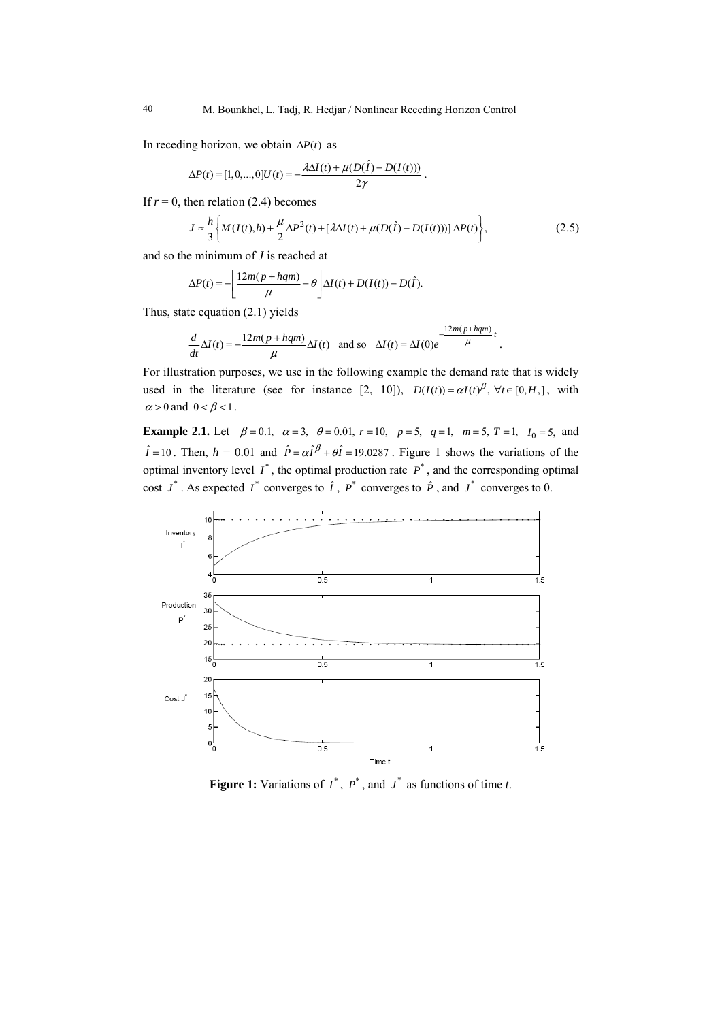In receding horizon, we obtain  $\Delta P(t)$  as

$$
\Delta P(t) = [1, 0, ..., 0]U(t) = -\frac{\lambda \Delta I(t) + \mu(D(\hat{I}) - D(I(t)))}{2\gamma}.
$$

If  $r = 0$ , then relation (2.4) becomes

$$
J \approx \frac{h}{3} \bigg\{ M(I(t), h) + \frac{\mu}{2} \Delta P^2(t) + [\lambda \Delta I(t) + \mu (D(\hat{I}) - D(I(t)))] \Delta P(t) \bigg\},\tag{2.5}
$$

and so the minimum of *J* is reached at

$$
\Delta P(t) = -\left[\frac{12m(p + hqm)}{\mu} - \theta\right] \Delta I(t) + D(I(t)) - D(\hat{I}).
$$

Thus, state equation (2.1) yields

$$
\frac{d}{dt}\Delta I(t) = -\frac{12m(p + hqm)}{\mu}\Delta I(t) \text{ and so } \Delta I(t) = \Delta I(0)e^{-\frac{12m(p + hqm)}{\mu}t}.
$$

For illustration purposes, we use in the following example the demand rate that is widely used in the literature (see for instance [2, 10]),  $D(I(t)) = \alpha I(t)^{\beta}$ ,  $\forall t \in [0, H]$ , with  $\alpha > 0$  and  $0 < \beta < 1$ .

**Example 2.1.** Let  $\beta = 0.1$ ,  $\alpha = 3$ ,  $\theta = 0.01$ ,  $r = 10$ ,  $p = 5$ ,  $q = 1$ ,  $m = 5$ ,  $T = 1$ ,  $I_0 = 5$ , and  $\hat{I} = 10$ . Then,  $h = 0.01$  and  $\hat{P} = \alpha \hat{I}^{\beta} + \theta \hat{I} = 19.0287$ . Figure 1 shows the variations of the optimal inventory level  $I^*$ , the optimal production rate  $P^*$ , and the corresponding optimal cost  $J^*$ . As expected  $I^*$  converges to  $\hat{I}$ ,  $P^*$  converges to  $\hat{P}$ , and  $J^*$  converges to 0.



**Figure 1:** Variations of  $I^*$ ,  $P^*$ , and  $J^*$  as functions of time *t*.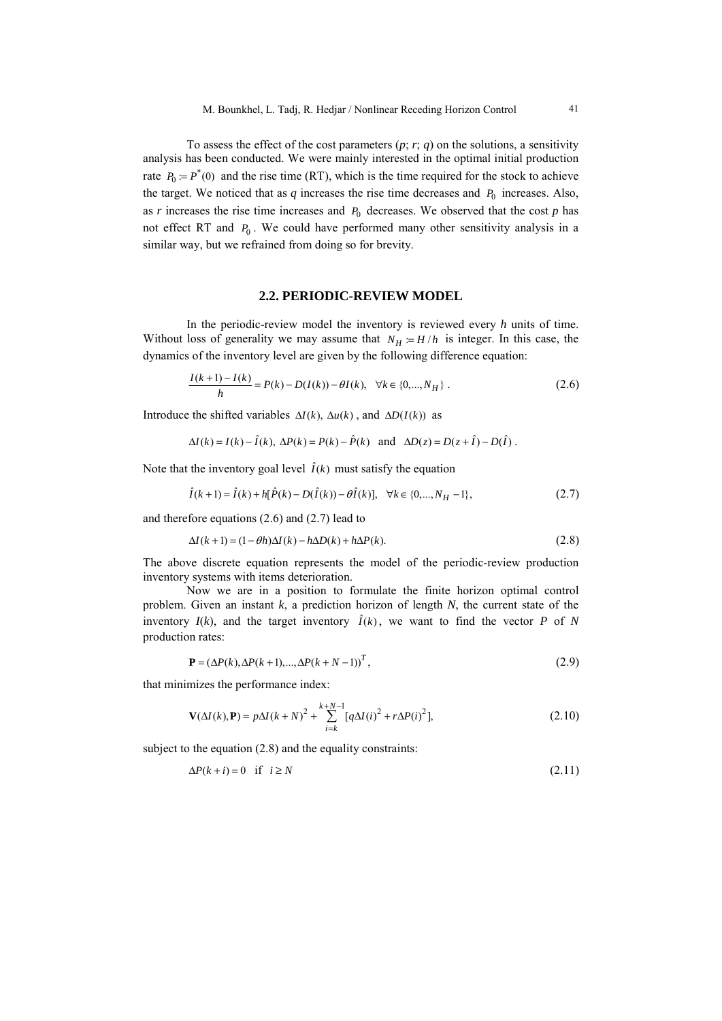To assess the effect of the cost parameters  $(p; r; q)$  on the solutions, a sensitivity analysis has been conducted. We were mainly interested in the optimal initial production rate  $P_0 = P^*(0)$  and the rise time (RT), which is the time required for the stock to achieve the target. We noticed that as  $q$  increases the rise time decreases and  $P_0$  increases. Also, as  $r$  increases the rise time increases and  $P_0$  decreases. We observed that the cost  $p$  has not effect RT and  $P_0$ . We could have performed many other sensitivity analysis in a similar way, but we refrained from doing so for brevity.

#### **2.2. PERIODIC-REVIEW MODEL**

In the periodic-review model the inventory is reviewed every *h* units of time. Without loss of generality we may assume that  $N_H = H/h$  is integer. In this case, the dynamics of the inventory level are given by the following difference equation:

$$
\frac{I(k+1)-I(k)}{h} = P(k) - D(I(k)) - \theta I(k), \quad \forall k \in \{0, ..., N_H\}.
$$
 (2.6)

Introduce the shifted variables  $\Delta I(k)$ ,  $\Delta u(k)$ , and  $\Delta D(I(k))$  as

$$
\Delta I(k) = I(k) - \hat{I}(k), \ \Delta P(k) = P(k) - \hat{P}(k) \quad \text{and} \quad \Delta D(z) = D(z + \hat{I}) - D(\hat{I}).
$$

Note that the inventory goal level  $\hat{I}(k)$  must satisfy the equation

$$
\hat{I}(k+1) = \hat{I}(k) + h[\hat{P}(k) - D(\hat{I}(k)) - \theta \hat{I}(k)], \quad \forall k \in \{0, ..., N_H - 1\},
$$
\n(2.7)

and therefore equations (2.6) and (2.7) lead to

$$
\Delta I(k+1) = (1 - \theta h)\Delta I(k) - h\Delta D(k) + h\Delta P(k). \tag{2.8}
$$

The above discrete equation represents the model of the periodic-review production inventory systems with items deterioration.

Now we are in a position to formulate the finite horizon optimal control problem. Given an instant *k*, a prediction horizon of length *N*, the current state of the inventory  $I(k)$ , and the target inventory  $\hat{I}(k)$ , we want to find the vector *P* of *N* production rates:

$$
\mathbf{P} = (\Delta P(k), \Delta P(k+1), ..., \Delta P(k+N-1))^T, \tag{2.9}
$$

that minimizes the performance index:

$$
\mathbf{V}(\Delta I(k), \mathbf{P}) = p\Delta I(k+N)^2 + \sum_{i=k}^{k+N-1} [q\Delta I(i)^2 + r\Delta P(i)^2],
$$
\n(2.10)

subject to the equation (2.8) and the equality constraints:

$$
\Delta P(k+i) = 0 \quad \text{if} \quad i \ge N \tag{2.11}
$$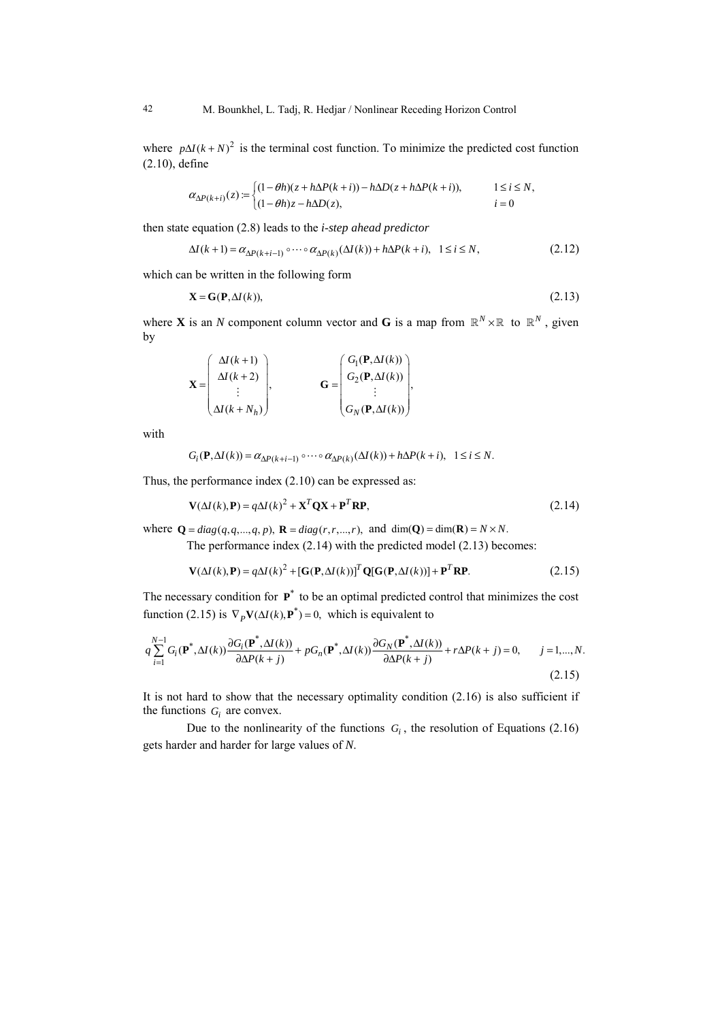where  $p\Delta I(k+N)^2$  is the terminal cost function. To minimize the predicted cost function (2.10), define

$$
\alpha_{\Delta P(k+i)}(z) := \begin{cases} (1 - \theta h)(z + h\Delta P(k+i)) - h\Delta D(z + h\Delta P(k+i)), & 1 \le i \le N, \\ (1 - \theta h)z - h\Delta D(z), & i = 0 \end{cases}
$$

then state equation (2.8) leads to the *i*-*step ahead predictor*

$$
\Delta I(k+1) = \alpha_{\Delta P(k+i-1)} \circ \cdots \circ \alpha_{\Delta P(k)}(\Delta I(k)) + h\Delta P(k+i), \quad 1 \le i \le N,
$$
\n(2.12)

which can be written in the following form

$$
\mathbf{X} = \mathbf{G}(\mathbf{P}, \Delta I(k)),\tag{2.13}
$$

where **X** is an *N* component column vector and **G** is a map from  $\mathbb{R}^N \times \mathbb{R}$  to  $\mathbb{R}^N$ , given by

$$
\mathbf{X} = \begin{pmatrix} \Delta I(k+1) \\ \Delta I(k+2) \\ \vdots \\ \Delta I(k+N_h) \end{pmatrix}, \qquad \mathbf{G} = \begin{pmatrix} G_1(\mathbf{P}, \Delta I(k)) \\ G_2(\mathbf{P}, \Delta I(k)) \\ \vdots \\ G_N(\mathbf{P}, \Delta I(k)) \end{pmatrix},
$$

with

$$
G_i(\mathbf{P}, \Delta I(k)) = \alpha_{\Delta P(k+i-1)} \circ \cdots \circ \alpha_{\Delta P(k)}(\Delta I(k)) + h\Delta P(k+i), \quad 1 \le i \le N.
$$

Thus, the performance index (2.10) can be expressed as:

$$
\mathbf{V}(\Delta I(k), \mathbf{P}) = q\Delta I(k)^2 + \mathbf{X}^T \mathbf{Q} \mathbf{X} + \mathbf{P}^T \mathbf{R} \mathbf{P},
$$
\n(2.14)

where  $\mathbf{Q} = diag(q, q, ..., q, p)$ ,  $\mathbf{R} = diag(r, r, ..., r)$ , and  $\dim(\mathbf{Q}) = \dim(\mathbf{R}) = N \times N$ .

The performance index (2.14) with the predicted model (2.13) becomes:

$$
\mathbf{V}(\Delta I(k), \mathbf{P}) = q\Delta I(k)^{2} + [\mathbf{G}(\mathbf{P}, \Delta I(k))]^{T} \mathbf{Q}[\mathbf{G}(\mathbf{P}, \Delta I(k))] + \mathbf{P}^{T} \mathbf{R} \mathbf{P}.
$$
 (2.15)

The necessary condition for  $P^*$  to be an optimal predicted control that minimizes the cost function (2.15) is  $\nabla_P \mathbf{V}(\Delta I(k), \mathbf{P}^*) = 0$ , which is equivalent to

$$
q\sum_{i=1}^{N-1}G_i(\mathbf{P}^*,\Delta I(k))\frac{\partial G_i(\mathbf{P}^*,\Delta I(k))}{\partial \Delta P(k+j)} + pG_n(\mathbf{P}^*,\Delta I(k))\frac{\partial G_N(\mathbf{P}^*,\Delta I(k))}{\partial \Delta P(k+j)} + r\Delta P(k+j) = 0, \qquad j = 1,...,N.
$$
\n(2.15)

It is not hard to show that the necessary optimality condition (2.16) is also sufficient if the functions  $G_i$  are convex.

Due to the nonlinearity of the functions  $G_i$ , the resolution of Equations (2.16) gets harder and harder for large values of *N*.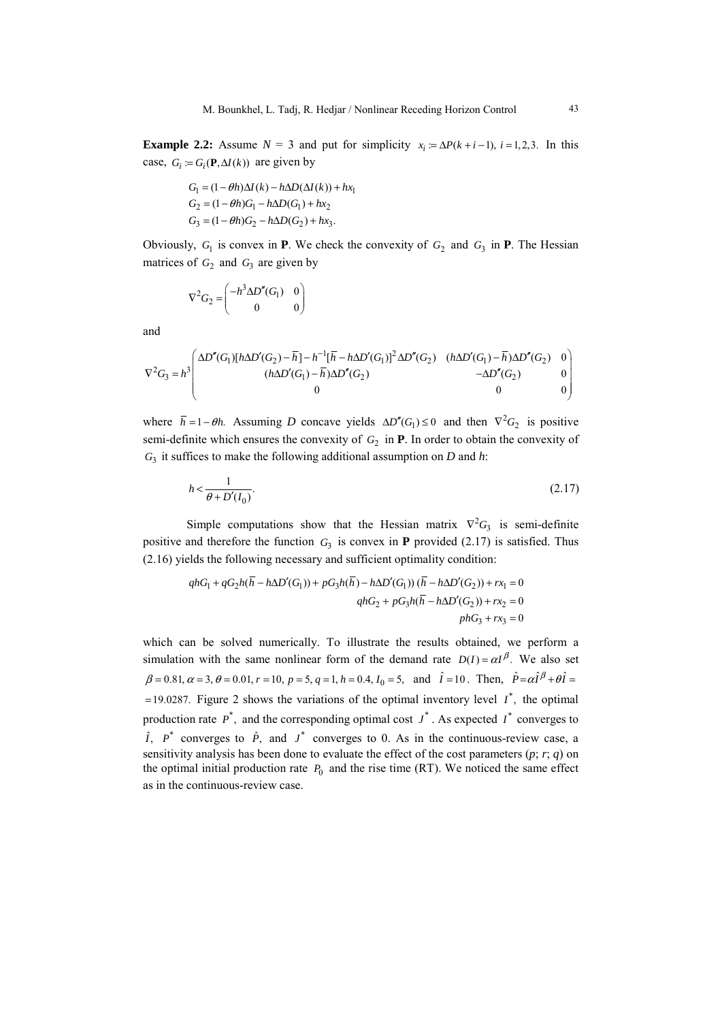**Example 2.2:** Assume  $N = 3$  and put for simplicity  $x_i = \Delta P(k + i - 1), i = 1,2,3$ . In this case,  $G_i := G_i(\mathbf{P}, \Delta I(k))$  are given by

$$
G_1 = (1 - \theta h)\Delta I(k) - h\Delta D(\Delta I(k)) + hx_1
$$
  
\n
$$
G_2 = (1 - \theta h)G_1 - h\Delta D(G_1) + hx_2
$$
  
\n
$$
G_3 = (1 - \theta h)G_2 - h\Delta D(G_2) + hx_3.
$$

Obviously,  $G_1$  is convex in **P**. We check the convexity of  $G_2$  and  $G_3$  in **P**. The Hessian matrices of  $G_2$  and  $G_3$  are given by

$$
\nabla^2 G_2 = \begin{pmatrix} -h^3 \Delta D''(G_1) & 0\\ 0 & 0 \end{pmatrix}
$$

and

$$
\nabla^2 G_3 = h^3 \begin{pmatrix} \Delta D''(G_1)[h\Delta D'(G_2) - \overline{h}] - h^{-1}[\overline{h} - h\Delta D'(G_1)]^2 \Delta D''(G_2) & (h\Delta D'(G_1) - \overline{h})\Delta D''(G_2) & 0\\ (h\Delta D'(G_1) - \overline{h})\Delta D''(G_2) & -\Delta D''(G_2) & 0\\ 0 & 0 & 0 \end{pmatrix}
$$

where  $\bar{h} = 1 - \theta h$ . Assuming *D* concave yields  $\Delta D''(G_1) \le 0$  and then  $\nabla^2 G_2$  is positive semi-definite which ensures the convexity of  $G_2$  in **P**. In order to obtain the convexity of *G*<sup>3</sup> it suffices to make the following additional assumption on *D* and *h*:

$$
h < \frac{1}{\theta + D'(I_0)}.\tag{2.17}
$$

Simple computations show that the Hessian matrix  $\nabla^2 G_3$  is semi-definite positive and therefore the function  $G_3$  is convex in **P** provided (2.17) is satisfied. Thus (2.16) yields the following necessary and sufficient optimality condition:

$$
qhG_1 + qG_2h(\overline{h} - h\Delta D'(G_1)) + pG_3h(\overline{h}) - h\Delta D'(G_1))(\overline{h} - h\Delta D'(G_2)) + rx_1 = 0
$$
  

$$
qhG_2 + pG_3h(\overline{h} - h\Delta D'(G_2)) + rx_2 = 0
$$
  

$$
phG_3 + rx_3 = 0
$$

which can be solved numerically. To illustrate the results obtained, we perform a simulation with the same nonlinear form of the demand rate  $D(I) = \alpha I^{\beta}$ . We also set  $\beta = 0.81, \alpha = 3, \theta = 0.01, r = 10, p = 5, q = 1, h = 0.4, I_0 = 5, \text{ and } \hat{I} = 10$ . Then,  $\hat{P} = \alpha \hat{I}^{\beta} + \theta \hat{I} = 0.1$  $=19.0287$ . Figure 2 shows the variations of the optimal inventory level  $I^*$ , the optimal production rate  $P^*$ , and the corresponding optimal cost  $J^*$ . As expected  $I^*$  converges to  $\hat{I}$ ,  $P^*$  converges to  $\hat{P}$ , and  $J^*$  converges to 0. As in the continuous-review case, a sensitivity analysis has been done to evaluate the effect of the cost parameters  $(p; r; q)$  on the optimal initial production rate  $P_0$  and the rise time (RT). We noticed the same effect as in the continuous-review case.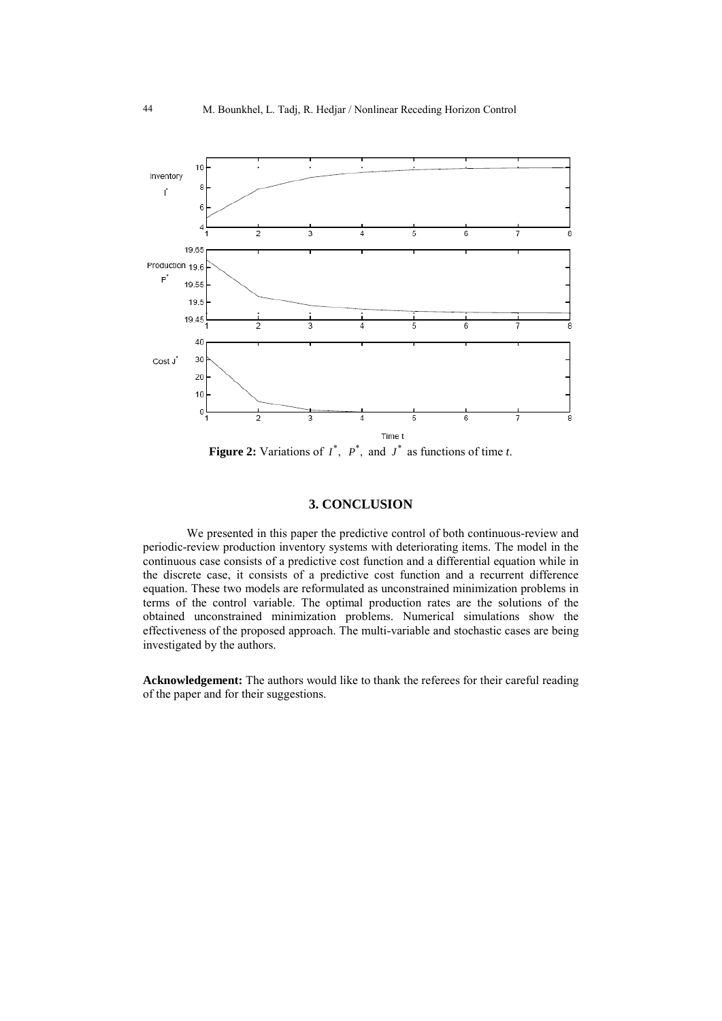

**Figure 2:** Variations of  $I^*$ ,  $P^*$ , and  $J^*$  as functions of time *t*.

## **3. CONCLUSION**

We presented in this paper the predictive control of both continuous-review and periodic-review production inventory systems with deteriorating items. The model in the continuous case consists of a predictive cost function and a differential equation while in the discrete case, it consists of a predictive cost function and a recurrent difference equation. These two models are reformulated as unconstrained minimization problems in terms of the control variable. The optimal production rates are the solutions of the obtained unconstrained minimization problems. Numerical simulations show the effectiveness of the proposed approach. The multi-variable and stochastic cases are being investigated by the authors.

**Acknowledgement:** The authors would like to thank the referees for their careful reading of the paper and for their suggestions.